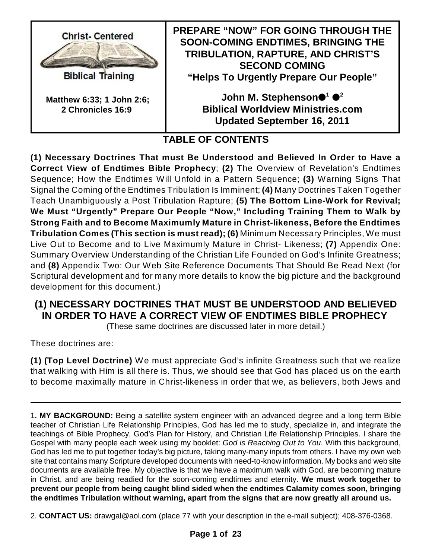

**Biblical Training** 

**Matthew 6:33; 1 John 2:6; 2 Chronicles 16:9** 

**PREPARE "NOW" FOR GOING THROUGH THE SOON-COMING ENDTIMES, BRINGING THE TRIBULATION, RAPTURE, AND CHRIST'S SECOND COMING "Helps To Urgently Prepare Our People"**

> John M. Stephenson●<sup>1</sup> ●<sup>2</sup> **Biblical Worldview Ministries.com Updated September 16, 2011**

# **TABLE OF CONTENTS**

**(1) Necessary Doctrines That must Be Understood and Believed In Order to Have a Correct View of Endtimes Bible Prophecy**; **(2)** The Overview of Revelation's Endtimes Sequence; How the Endtimes Will Unfold in a Pattern Sequence; **(3)** Warning Signs That Signal the Coming of the Endtimes Tribulation Is Imminent; **(4)** Many Doctrines Taken Together Teach Unambiguously a Post Tribulation Rapture; **(5) The Bottom Line-Work for Revival; We Must "Urgently" Prepare Our People "Now," Including Training Them to Walk by Strong Faith and to Become Maximumly Mature in Christ-likeness, Before the Endtimes Tribulation Comes (This section is must read); (6)** Minimum Necessary Principles, We must Live Out to Become and to Live Maximumly Mature in Christ- Likeness; **(7)** Appendix One: Summary Overview Understanding of the Christian Life Founded on God's Infinite Greatness; and **(8)** Appendix Two: Our Web Site Reference Documents That Should Be Read Next (for Scriptural development and for many more details to know the big picture and the background development for this document.)

# **(1) NECESSARY DOCTRINES THAT MUST BE UNDERSTOOD AND BELIEVED IN ORDER TO HAVE A CORRECT VIEW OF ENDTIMES BIBLE PROPHECY**

(These same doctrines are discussed later in more detail.)

These doctrines are:

**(1) (Top Level Doctrine)** We must appreciate God's infinite Greatness such that we realize that walking with Him is all there is. Thus, we should see that God has placed us on the earth to become maximally mature in Christ-likeness in order that we, as believers, both Jews and

<sup>1</sup>**. MY BACKGROUND:** Being a satellite system engineer with an advanced degree and a long term Bible teacher of Christian Life Relationship Principles, God has led me to study, specialize in, and integrate the teachings of Bible Prophecy, God's Plan for History, and Christian Life Relationship Principles. I share the Gospel with many people each week using my booklet: *God is Reaching Out to You*. With this background, God has led me to put together today's big picture, taking many-many inputs from others. I have my own web site that contains many Scripture developed documents with need-to-know information. My books and web site documents are available free. My objective is that we have a maximum walk with God, are becoming mature in Christ, and are being readied for the soon-coming endtimes and eternity. **We must work together to prevent our people from being caught blind sided when the endtimes Calamity comes soon, bringing the endtimes Tribulation without warning, apart from the signs that are now greatly all around us.**

<sup>2.</sup> **CONTACT US:** drawgal@aol.com (place 77 with your description in the e-mail subject); 408-376-0368.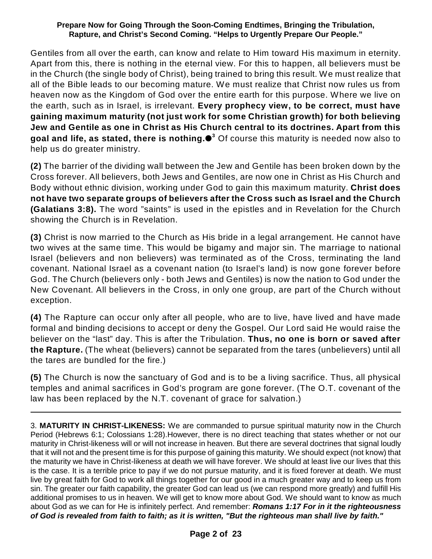Gentiles from all over the earth, can know and relate to Him toward His maximum in eternity. Apart from this, there is nothing in the eternal view. For this to happen, all believers must be in the Church (the single body of Christ), being trained to bring this result. We must realize that all of the Bible leads to our becoming mature. We must realize that Christ now rules us from heaven now as the Kingdom of God over the entire earth for this purpose. Where we live on the earth, such as in Israel, is irrelevant. **Every prophecy view, to be correct, must have gaining maximum maturity (not just work for some Christian growth) for both believing Jew and Gentile as one in Christ as His Church central to its doctrines. Apart from this goal and life, as stated, there is nothing.** Of course this maturity is needed now also to **3** help us do greater ministry.

**(2)** The barrier of the dividing wall between the Jew and Gentile has been broken down by the Cross forever. All believers, both Jews and Gentiles, are now one in Christ as His Church and Body without ethnic division, working under God to gain this maximum maturity. **Christ does not have two separate groups of believers after the Cross such as Israel and the Church (Galatians 3:8).** The word "saints" is used in the epistles and in Revelation for the Church showing the Church is in Revelation.

**(3)** Christ is now married to the Church as His bride in a legal arrangement. He cannot have two wives at the same time. This would be bigamy and major sin. The marriage to national Israel (believers and non believers) was terminated as of the Cross, terminating the land covenant. National Israel as a covenant nation (to Israel's land) is now gone forever before God. The Church (believers only - both Jews and Gentiles) is now the nation to God under the New Covenant. All believers in the Cross, in only one group, are part of the Church without exception.

**(4)** The Rapture can occur only after all people, who are to live, have lived and have made formal and binding decisions to accept or deny the Gospel. Our Lord said He would raise the believer on the "last" day. This is after the Tribulation. **Thus, no one is born or saved after the Rapture.** (The wheat (believers) cannot be separated from the tares (unbelievers) until all the tares are bundled for the fire.)

**(5)** The Church is now the sanctuary of God and is to be a living sacrifice. Thus, all physical temples and animal sacrifices in God's program are gone forever. (The O.T. covenant of the law has been replaced by the N.T. covenant of grace for salvation.)

<sup>3.</sup> **MATURITY IN CHRIST-LIKENESS:** We are commanded to pursue spiritual maturity now in the Church Period (Hebrews 6:1; Colossians 1:28).However, there is no direct teaching that states whether or not our maturity in Christ-likeness will or will not increase in heaven. But there are several doctrines that signal loudly that it will not and the present time is for this purpose of gaining this maturity. We should expect (not know) that the maturity we have in Christ-likeness at death we will have forever. We should at least live our lives that this is the case. It is a terrible price to pay if we do not pursue maturity, and it is fixed forever at death. We must live by great faith for God to work all things together for our good in a much greater way and to keep us from sin. The greater our faith capability, the greater God can lead us (we can respond more greatly) and fulfill His additional promises to us in heaven. We will get to know more about God. We should want to know as much about God as we can for He is infinitely perfect. And remember: *Romans 1:17 For in it the righteousness of God is revealed from faith to faith; as it is written, "But the righteous man shall live by faith."*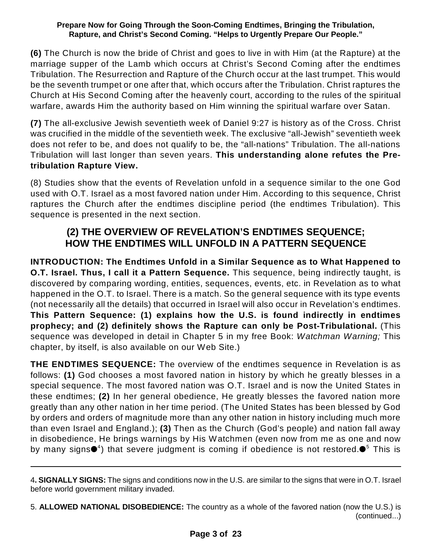**(6)** The Church is now the bride of Christ and goes to live in with Him (at the Rapture) at the marriage supper of the Lamb which occurs at Christ's Second Coming after the endtimes Tribulation. The Resurrection and Rapture of the Church occur at the last trumpet. This would be the seventh trumpet or one after that, which occurs after the Tribulation. Christ raptures the Church at His Second Coming after the heavenly court, according to the rules of the spiritual warfare, awards Him the authority based on Him winning the spiritual warfare over Satan.

**(7)** The all-exclusive Jewish seventieth week of Daniel 9:27 is history as of the Cross. Christ was crucified in the middle of the seventieth week. The exclusive "all-Jewish" seventieth week does not refer to be, and does not qualify to be, the "all-nations" Tribulation. The all-nations Tribulation will last longer than seven years. **This understanding alone refutes the Pretribulation Rapture View.**

(8) Studies show that the events of Revelation unfold in a sequence similar to the one God used with O.T. Israel as a most favored nation under Him. According to this sequence, Christ raptures the Church after the endtimes discipline period (the endtimes Tribulation). This sequence is presented in the next section.

# **(2) THE OVERVIEW OF REVELATION'S ENDTIMES SEQUENCE; HOW THE ENDTIMES WILL UNFOLD IN A PATTERN SEQUENCE**

**INTRODUCTION: The Endtimes Unfold in a Similar Sequence as to What Happened to O.T. Israel. Thus, I call it a Pattern Sequence.** This sequence, being indirectly taught, is discovered by comparing wording, entities, sequences, events, etc. in Revelation as to what happened in the O.T. to Israel. There is a match. So the general sequence with its type events (not necessarily all the details) that occurred in Israel will also occur in Revelation's endtimes. **This Pattern Sequence: (1) explains how the U.S. is found indirectly in endtimes prophecy; and (2) definitely shows the Rapture can only be Post-Tribulational.** (This sequence was developed in detail in Chapter 5 in my free Book: *Watchman Warning;* This chapter, by itself, is also available on our Web Site.)

**THE ENDTIMES SEQUENCE:** The overview of the endtimes sequence in Revelation is as follows: **(1)** God chooses a most favored nation in history by which he greatly blesses in a special sequence. The most favored nation was O.T. Israel and is now the United States in these endtimes; **(2)** In her general obedience, He greatly blesses the favored nation more greatly than any other nation in her time period. (The United States has been blessed by God by orders and orders of magnitude more than any other nation in history including much more than even Israel and England.); **(3)** Then as the Church (God's people) and nation fall away in disobedience, He brings warnings by His Watchmen (even now from me as one and now by many signs $\mathord{\bullet}^4$ ) that severe judgment is coming if obedience is not restored. $\mathord{\bullet}^5$  This is

5. **ALLOWED NATIONAL DISOBEDIENCE:** The country as a whole of the favored nation (now the U.S.) is (continued...)

<sup>4</sup>**. SIGNALLY SIGNS:** The signs and conditions now in the U.S. are similar to the signs that were in O.T. Israel before world government military invaded.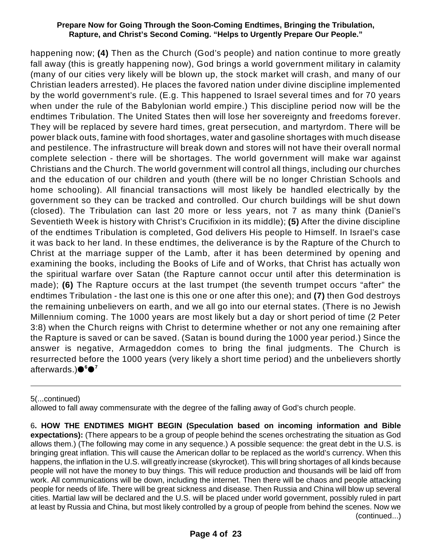happening now; **(4)** Then as the Church (God's people) and nation continue to more greatly fall away (this is greatly happening now), God brings a world government military in calamity (many of our cities very likely will be blown up, the stock market will crash, and many of our Christian leaders arrested). He places the favored nation under divine discipline implemented by the world government's rule. (E.g. This happened to Israel several times and for 70 years when under the rule of the Babylonian world empire.) This discipline period now will be the endtimes Tribulation. The United States then will lose her sovereignty and freedoms forever. They will be replaced by severe hard times, great persecution, and martyrdom. There will be power black outs, famine with food shortages, water and gasoline shortages with much disease and pestilence. The infrastructure will break down and stores will not have their overall normal complete selection - there will be shortages. The world government will make war against Christians and the Church. The world government will control all things, including our churches and the education of our children and youth (there will be no longer Christian Schools and home schooling). All financial transactions will most likely be handled electrically by the government so they can be tracked and controlled. Our church buildings will be shut down (closed). The Tribulation can last 20 more or less years, not 7 as many think (Daniel's Seventieth Week is history with Christ's Crucifixion in its middle); **(5)** After the divine discipline of the endtimes Tribulation is completed, God delivers His people to Himself. In Israel's case it was back to her land. In these endtimes, the deliverance is by the Rapture of the Church to Christ at the marriage supper of the Lamb, after it has been determined by opening and examining the books, including the Books of Life and of Works, that Christ has actually won the spiritual warfare over Satan (the Rapture cannot occur until after this determination is made); **(6)** The Rapture occurs at the last trumpet (the seventh trumpet occurs "after" the endtimes Tribulation - the last one is this one or one after this one); and **(7)** then God destroys the remaining unbelievers on earth, and we all go into our eternal states. (There is no Jewish Millennium coming. The 1000 years are most likely but a day or short period of time (2 Peter 3:8) when the Church reigns with Christ to determine whether or not any one remaining after the Rapture is saved or can be saved. (Satan is bound during the 1000 year period.) Since the answer is negative, Armageddon comes to bring the final judgments. The Church is resurrected before the 1000 years (very likely a short time period) and the unbelievers shortly afterwards.) **6 7**

5(...continued)

allowed to fall away commensurate with the degree of the falling away of God's church people.

6**. HOW THE ENDTIMES MIGHT BEGIN (Speculation based on incoming information and Bible expectations):** (There appears to be a group of people behind the scenes orchestrating the situation as God allows them.) (The following may come in any sequence.) A possible sequence: the great debt in the U.S. is bringing great inflation. This will cause the American dollar to be replaced as the world's currency. When this happens, the inflation in the U.S. will greatly increase (skyrocket). This will bring shortages of all kinds because people will not have the money to buy things. This will reduce production and thousands will be laid off from work. All communications will be down, including the internet. Then there will be chaos and people attacking people for needs of life. There will be great sickness and disease. Then Russia and China will blow up several cities. Martial law will be declared and the U.S. will be placed under world government, possibly ruled in part at least by Russia and China, but most likely controlled by a group of people from behind the scenes. Now we (continued...)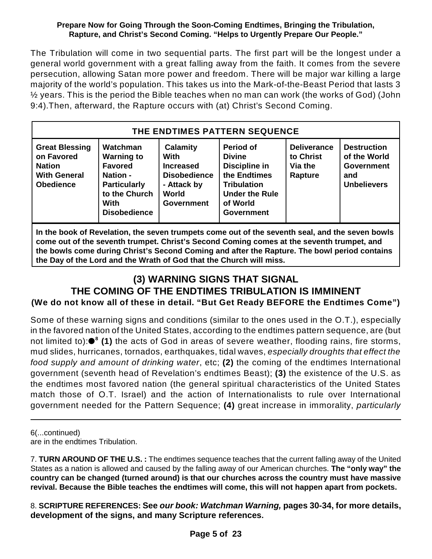The Tribulation will come in two sequential parts. The first part will be the longest under a general world government with a great falling away from the faith. It comes from the severe persecution, allowing Satan more power and freedom. There will be major war killing a large majority of the world's population. This takes us into the Mark-of-the-Beast Period that lasts 3 ½ years. This is the period the Bible teaches when no man can work (the works of God) (John 9:4).Then, afterward, the Rapture occurs with (at) Christ's Second Coming.

| THE ENDTIMES PATTERN SEQUENCE                                                                   |                                                                                                                                           |                                                                                                                 |                                                                                                                                                    |                                                       |                                                                                      |  |
|-------------------------------------------------------------------------------------------------|-------------------------------------------------------------------------------------------------------------------------------------------|-----------------------------------------------------------------------------------------------------------------|----------------------------------------------------------------------------------------------------------------------------------------------------|-------------------------------------------------------|--------------------------------------------------------------------------------------|--|
| <b>Great Blessing</b><br>on Favored<br><b>Nation</b><br><b>With General</b><br><b>Obedience</b> | Watchman<br><b>Warning to</b><br><b>Favored</b><br><b>Nation -</b><br><b>Particularly</b><br>to the Church<br>With<br><b>Disobedience</b> | Calamity<br><b>With</b><br><b>Increased</b><br><b>Disobedience</b><br>- Attack by<br>World<br><b>Government</b> | <b>Period of</b><br><b>Divine</b><br>Discipline in<br>the Endtimes<br><b>Tribulation</b><br><b>Under the Rule</b><br>of World<br><b>Government</b> | <b>Deliverance</b><br>to Christ<br>Via the<br>Rapture | <b>Destruction</b><br>of the World<br><b>Government</b><br>and<br><b>Unbelievers</b> |  |

**In the book of Revelation, the seven trumpets come out of the seventh seal, and the seven bowls come out of the seventh trumpet. Christ's Second Coming comes at the seventh trumpet, and the bowls come during Christ's Second Coming and after the Rapture. The bowl period contains the Day of the Lord and the Wrath of God that the Church will miss.**

### **(3) WARNING SIGNS THAT SIGNAL THE COMING OF THE ENDTIMES TRIBULATION IS IMMINENT (We do not know all of these in detail. "But Get Ready BEFORE the Endtimes Come")**

Some of these warning signs and conditions (similar to the ones used in the O.T.), especially in the favored nation of the United States, according to the endtimes pattern sequence, are (but not limited to):●<sup>8</sup> (1) the acts of God in areas of severe weather, flooding rains, fire storms, mud slides, hurricanes, tornados, earthquakes, tidal waves, *especially droughts that effect the food supply and amount of drinking water*, etc; **(2)** the coming of the endtimes International government (seventh head of Revelation's endtimes Beast); **(3)** the existence of the U.S. as the endtimes most favored nation (the general spiritual characteristics of the United States match those of O.T. Israel) and the action of Internationalists to rule over International government needed for the Pattern Sequence; **(4)** great increase in immorality, *particularly*

6(...continued) are in the endtimes Tribulation.

7. **TURN AROUND OF THE U.S. :** The endtimes sequence teaches that the current falling away of the United States as a nation is allowed and caused by the falling away of our American churches. **The "only way" the country can be changed (turned around) is that our churches across the country must have massive revival. Because the Bible teaches the endtimes will come, this will not happen apart from pockets.**

8. **SCRIPTURE REFERENCES: See** *our book: Watchman Warning,* **pages 30-34, for more details, development of the signs, and many Scripture references.**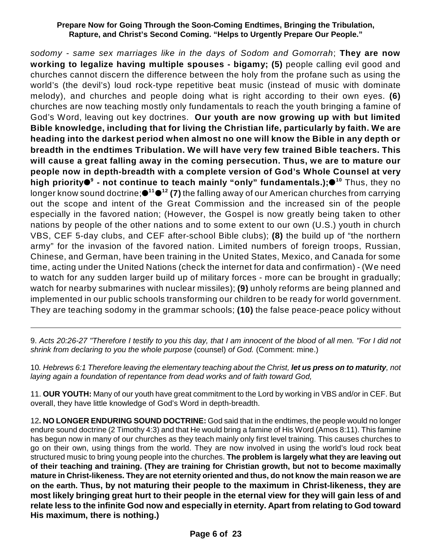*sodomy - same sex marriages like in the days of Sodom and Gomorrah*; **They are now working to legalize having multiple spouses - bigamy; (5)** people calling evil good and churches cannot discern the difference between the holy from the profane such as using the world's (the devil's) loud rock-type repetitive beat music (instead of music with dominate melody), and churches and people doing what is right according to their own eyes. **(6)** churches are now teaching mostly only fundamentals to reach the youth bringing a famine of God's Word, leaving out key doctrines. **Our youth are now growing up with but limited Bible knowledge, including that for living the Christian life, particularly by faith. We are heading into the darkest period when almost no one will know the Bible in any depth or breadth in the endtimes Tribulation. We will have very few trained Bible teachers. This will cause a great falling away in the coming persecution. Thus, we are to mature our people now in depth-breadth with a complete version of God's Whole Counsel at very high priority - not continue to teach mainly "only" fundamentals.);** Thus, they no **9 10** longer know sound doctrine; **(7)** the falling away of our American churches from carrying **11 12** out the scope and intent of the Great Commission and the increased sin of the people especially in the favored nation; (However, the Gospel is now greatly being taken to other nations by people of the other nations and to some extent to our own (U.S.) youth in church VBS, CEF 5-day clubs, and CEF after-school Bible clubs); **(8)** the build up of "the northern army" for the invasion of the favored nation. Limited numbers of foreign troops, Russian, Chinese, and German, have been training in the United States, Mexico, and Canada for some time, acting under the United Nations (check the internet for data and confirmation) - (We need to watch for any sudden larger build up of military forces - more can be brought in gradually; watch for nearby submarines with nuclear missiles); **(9)** unholy reforms are being planned and implemented in our public schools transforming our children to be ready for world government. They are teaching sodomy in the grammar schools; **(10)** the false peace-peace policy without

9. *Acts 20:26-27 "Therefore I testify to you this day, that I am innocent of the blood of all men. "For I did not shrink from declaring to you the whole purpose* (counsel) *of God.* (Comment: mine.)

10*. Hebrews 6:1 Therefore leaving the elementary teaching about the Christ, let us press on to maturity, not laying again a foundation of repentance from dead works and of faith toward God,*

11. **OUR YOUTH:** Many of our youth have great commitment to the Lord by working in VBS and/or in CEF. But overall, they have little knowledge of God's Word in depth-breadth.

12**. NO LONGER ENDURING SOUND DOCTRINE:** God said that in the endtimes, the people would no longer endure sound doctrine (2 Timothy 4:3) and that He would bring a famine of His Word (Amos 8:11). This famine has begun now in many of our churches as they teach mainly only first level training. This causes churches to go on their own, using things from the world. They are now involved in using the world's loud rock beat structured music to bring young people into the churches. **The problem is largely what they are leaving out of their teaching and training. (They are training for Christian growth, but not to become maximally mature in Christ-likeness. They are not eternity oriented and thus, do not know the main reason we are on the earth. Thus, by not maturing their people to the maximum in Christ-likeness, they are most likely bringing great hurt to their people in the eternal view for they will gain less of and relate less to the infinite God now and especially in eternity. Apart from relating to God toward His maximum, there is nothing.)**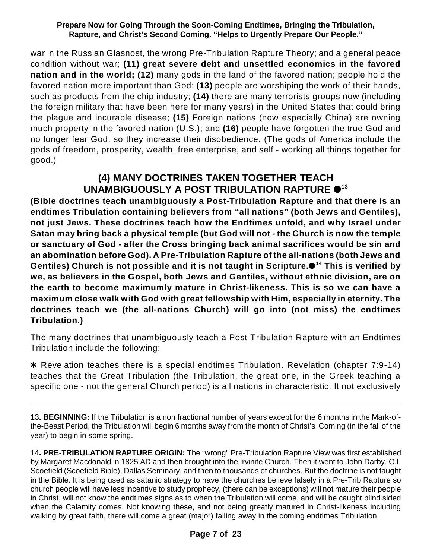war in the Russian Glasnost, the wrong Pre-Tribulation Rapture Theory; and a general peace condition without war; **(11) great severe debt and unsettled economics in the favored nation and in the world; (12)** many gods in the land of the favored nation; people hold the favored nation more important than God; **(13)** people are worshiping the work of their hands, such as products from the chip industry; **(14)** there are many terrorists groups now (including the foreign military that have been here for many years) in the United States that could bring the plague and incurable disease; **(15)** Foreign nations (now especially China) are owning much property in the favored nation (U.S.); and **(16)** people have forgotten the true God and no longer fear God, so they increase their disobedience. (The gods of America include the gods of freedom, prosperity, wealth, free enterprise, and self - working all things together for good.)

# **(4) MANY DOCTRINES TAKEN TOGETHER TEACH** UNAMBIGUOUSLY A POST TRIBULATION RAPTURE  $\bullet$ <sup>13</sup>

**(Bible doctrines teach unambiguously a Post-Tribulation Rapture and that there is an endtimes Tribulation containing believers from "all nations" (both Jews and Gentiles), not just Jews. These doctrines teach how the Endtimes unfold, and why Israel under Satan may bring back a physical temple (but God will not - the Church is now the temple or sanctuary of God - after the Cross bringing back animal sacrifices would be sin and an abomination before God). A Pre-Tribulation Rapture of the all-nations (both Jews and Gentiles) Church is not possible and it is not taught in Scripture. This is verified by 14 we, as believers in the Gospel, both Jews and Gentiles, without ethnic division, are on the earth to become maximumly mature in Christ-likeness. This is so we can have a maximum close walk with God with great fellowship with Him, especially in eternity. The doctrines teach we (the all-nations Church) will go into (not miss) the endtimes Tribulation.)**

The many doctrines that unambiguously teach a Post-Tribulation Rapture with an Endtimes Tribulation include the following:

\* Revelation teaches there is a special endtimes Tribulation. Revelation (chapter 7:9-14) teaches that the Great Tribulation (the Tribulation, the great one, in the Greek teaching a specific one - not the general Church period) is all nations in characteristic. It not exclusively

13**. BEGINNING:** If the Tribulation is a non fractional number of years except for the 6 months in the Mark-ofthe-Beast Period, the Tribulation will begin 6 months away from the month of Christ's Coming (in the fall of the year) to begin in some spring.

14**. PRE-TRIBULATION RAPTURE ORIGIN:** The "wrong" Pre-Tribulation Rapture View was first established by Margaret Macdonald in 1825 AD and then brought into the Irvinite Church. Then it went to John Darby, C.I. Scoefield (Scoefield Bible), Dallas Seminary, and then to thousands of churches. But the doctrine is not taught in the Bible. It is being used as satanic strategy to have the churches believe falsely in a Pre-Trib Rapture so church people will have less incentive to study prophecy, (there can be exceptions) will not mature their people in Christ, will not know the endtimes signs as to when the Tribulation will come, and will be caught blind sided when the Calamity comes. Not knowing these, and not being greatly matured in Christ-likeness including walking by great faith, there will come a great (major) falling away in the coming endtimes Tribulation.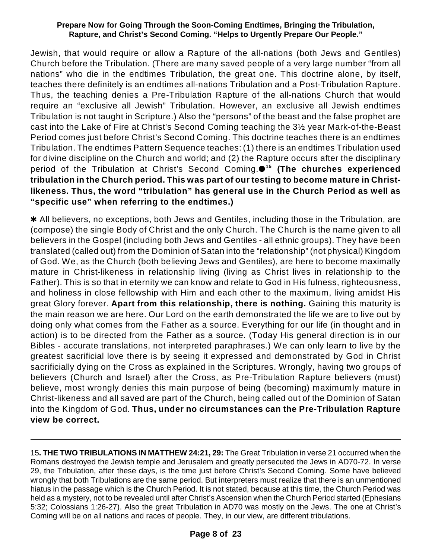Jewish, that would require or allow a Rapture of the all-nations (both Jews and Gentiles) Church before the Tribulation. (There are many saved people of a very large number "from all nations" who die in the endtimes Tribulation, the great one. This doctrine alone, by itself, teaches there definitely is an endtimes all-nations Tribulation and a Post-Tribulation Rapture. Thus, the teaching denies a Pre-Tribulation Rapture of the all-nations Church that would require an "exclusive all Jewish" Tribulation. However, an exclusive all Jewish endtimes Tribulation is not taught in Scripture.) Also the "persons" of the beast and the false prophet are cast into the Lake of Fire at Christ's Second Coming teaching the 3½ year Mark-of-the-Beast Period comes just before Christ's Second Coming. This doctrine teaches there is an endtimes Tribulation. The endtimes Pattern Sequence teaches: (1) there is an endtimes Tribulation used for divine discipline on the Church and world; and (2) the Rapture occurs after the disciplinary period of the Tribulation at Christ's Second Coming. **(The churches experienced 15 tribulation in the Church period. This was part of our testing to become mature in Christlikeness. Thus, the word "tribulation" has general use in the Church Period as well as "specific use" when referring to the endtimes.)**

\* All believers, no exceptions, both Jews and Gentiles, including those in the Tribulation, are (compose) the single Body of Christ and the only Church. The Church is the name given to all believers in the Gospel (including both Jews and Gentiles - all ethnic groups). They have been translated (called out) from the Dominion of Satan into the "relationship" (not physical) Kingdom of God. We, as the Church (both believing Jews and Gentiles), are here to become maximally mature in Christ-likeness in relationship living (living as Christ lives in relationship to the Father). This is so that in eternity we can know and relate to God in His fulness, righteousness, and holiness in close fellowship with Him and each other to the maximum, living amidst His great Glory forever. **Apart from this relationship, there is nothing.** Gaining this maturity is the main reason we are here. Our Lord on the earth demonstrated the life we are to live out by doing only what comes from the Father as a source. Everything for our life (in thought and in action) is to be directed from the Father as a source. (Today His general direction is in our Bibles - accurate translations, not interpreted paraphrases.) We can only learn to live by the greatest sacrificial love there is by seeing it expressed and demonstrated by God in Christ sacrificially dying on the Cross as explained in the Scriptures. Wrongly, having two groups of believers (Church and Israel) after the Cross, as Pre-Tribulation Rapture believers (must) believe, most wrongly denies this main purpose of being (becoming) maximumly mature in Christ-likeness and all saved are part of the Church, being called out of the Dominion of Satan into the Kingdom of God. **Thus, under no circumstances can the Pre-Tribulation Rapture view be correct.**

15**. THE TWO TRIBULATIONS IN MATTHEW 24:21, 29:** The Great Tribulation in verse 21 occurred when the Romans destroyed the Jewish temple and Jerusalem and greatly persecuted the Jews in AD70-72. In verse 29, the Tribulation, after these days, is the time just before Christ's Second Coming. Some have believed wrongly that both Tribulations are the same period. But interpreters must realize that there is an unmentioned hiatus in the passage which is the Church Period. It is not stated, because at this time, the Church Period was held as a mystery, not to be revealed until after Christ's Ascension when the Church Period started (Ephesians 5:32; Colossians 1:26-27). Also the great Tribulation in AD70 was mostly on the Jews. The one at Christ's Coming will be on all nations and races of people. They, in our view, are different tribulations.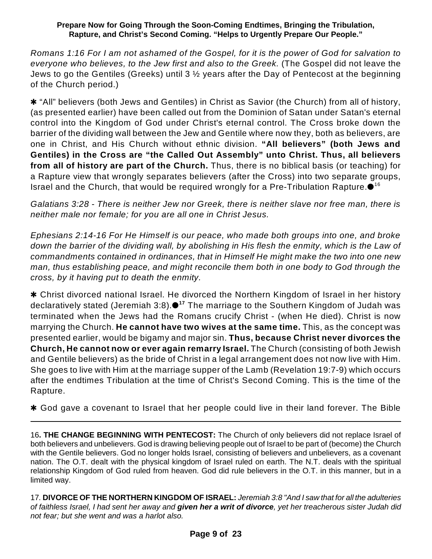Romans 1:16 For I am not ashamed of the Gospel, for it is the power of God for salvation to *everyone who believes, to the Jew first and also to the Greek.* (The Gospel did not leave the Jews to go the Gentiles (Greeks) until 3 ½ years after the Day of Pentecost at the beginning of the Church period.)

 $*$  "All" believers (both Jews and Gentiles) in Christ as Savior (the Church) from all of history, (as presented earlier) have been called out from the Dominion of Satan under Satan's eternal control into the Kingdom of God under Christ's eternal control. The Cross broke down the barrier of the dividing wall between the Jew and Gentile where now they, both as believers, are one in Christ, and His Church without ethnic division. **"All believers" (both Jews and Gentiles) in the Cross are "the Called Out Assembly" unto Christ. Thus, all believers from all of history are part of the Church.** Thus, there is no biblical basis (or teaching) for a Rapture view that wrongly separates believers (after the Cross) into two separate groups, Israel and the Church, that would be required wrongly for a Pre-Tribulation Rapture. $\bullet$  16

*Galatians 3:28 - There is neither Jew nor Greek, there is neither slave nor free man, there is neither male nor female; for you are all one in Christ Jesus.*

*Ephesians 2:14-16 For He Himself is our peace, who made both groups into one, and broke down the barrier of the dividing wall, by abolishing in His flesh the enmity, which is the Law of commandments contained in ordinances, that in Himself He might make the two into one new man, thus establishing peace, and might reconcile them both in one body to God through the cross, by it having put to death the enmity.*

\* Christ divorced national Israel. He divorced the Northern Kingdom of Israel in her history declaratively stated (Jeremiah 3:8).●<sup>17</sup> The marriage to the Southern Kingdom of Judah was terminated when the Jews had the Romans crucify Christ - (when He died). Christ is now marrying the Church. **He cannot have two wives at the same time.** This, as the concept was presented earlier, would be bigamy and major sin. **Thus, because Christ never divorces the Church, He cannot now or ever again remarry Israel.** The Church (consisting of both Jewish and Gentile believers) as the bride of Christ in a legal arrangement does not now live with Him. She goes to live with Him at the marriage supper of the Lamb (Revelation 19:7-9) which occurs after the endtimes Tribulation at the time of Christ's Second Coming. This is the time of the Rapture.

\* God gave a covenant to Israel that her people could live in their land forever. The Bible

16**. THE CHANGE BEGINNING WITH PENTECOST:** The Church of only believers did not replace Israel of both believers and unbelievers. God is drawing believing people out of Israel to be part of (become) the Church with the Gentile believers. God no longer holds Israel, consisting of believers and unbelievers, as a covenant nation. The O.T. dealt with the physical kingdom of Israel ruled on earth. The N.T. deals with the spiritual relationship Kingdom of God ruled from heaven. God did rule believers in the O.T. in this manner, but in a limited way.

17*.* **DIVORCE OF THE NORTHERN KINGDOM OF ISRAEL:** *Jeremiah 3:8 "And I saw that for all the adulteries of faithless Israel, I had sent her away and given her a writ of divorce, yet her treacherous sister Judah did not fear; but she went and was a harlot also.*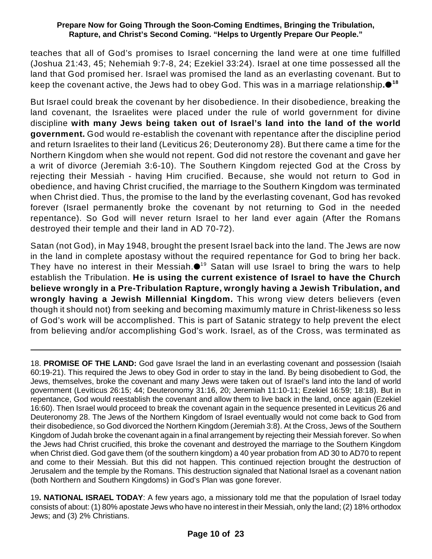teaches that all of God's promises to Israel concerning the land were at one time fulfilled (Joshua 21:43, 45; Nehemiah 9:7-8, 24; Ezekiel 33:24). Israel at one time possessed all the land that God promised her. Israel was promised the land as an everlasting covenant. But to keep the covenant active, the Jews had to obey God. This was in a marriage relationship**. 18**

But Israel could break the covenant by her disobedience. In their disobedience, breaking the land covenant, the Israelites were placed under the rule of world government for divine discipline **with many Jews being taken out of Israel's land into the land of the world government.** God would re-establish the covenant with repentance after the discipline period and return Israelites to their land (Leviticus 26; Deuteronomy 28). But there came a time for the Northern Kingdom when she would not repent. God did not restore the covenant and gave her a writ of divorce (Jeremiah 3:6-10). The Southern Kingdom rejected God at the Cross by rejecting their Messiah - having Him crucified. Because, she would not return to God in obedience, and having Christ crucified, the marriage to the Southern Kingdom was terminated when Christ died. Thus, the promise to the land by the everlasting covenant, God has revoked forever (Israel permanently broke the covenant by not returning to God in the needed repentance). So God will never return Israel to her land ever again (After the Romans destroyed their temple and their land in AD 70-72).

Satan (not God), in May 1948, brought the present Israel back into the land. The Jews are now in the land in complete apostasy without the required repentance for God to bring her back. They have no interest in their Messiah. $\bullet$ <sup>19</sup> Satan will use Israel to bring the wars to help establish the Tribulation. **He is using the current existence of Israel to have the Church believe wrongly in a Pre-Tribulation Rapture, wrongly having a Jewish Tribulation, and wrongly having a Jewish Millennial Kingdom.** This wrong view deters believers (even though it should not) from seeking and becoming maximumly mature in Christ-likeness so less of God's work will be accomplished. This is part of Satanic strategy to help prevent the elect from believing and/or accomplishing God's work. Israel, as of the Cross, was terminated as

18. **PROMISE OF THE LAND:** God gave Israel the land in an everlasting covenant and possession (Isaiah 60:19-21). This required the Jews to obey God in order to stay in the land. By being disobedient to God, the Jews, themselves, broke the covenant and many Jews were taken out of Israel's land into the land of world government (Leviticus 26:15; 44; Deuteronomy 31:16, 20; Jeremiah 11:10-11; Ezekiel 16:59; 18:18). But in repentance, God would reestablish the covenant and allow them to live back in the land, once again (Ezekiel 16:60). Then Israel would proceed to break the covenant again in the sequence presented in Leviticus 26 and Deuteronomy 28. The Jews of the Northern Kingdom of Israel eventually would not come back to God from their disobedience, so God divorced the Northern Kingdom (Jeremiah 3:8). At the Cross, Jews of the Southern Kingdom of Judah broke the covenant again in a final arrangement by rejecting their Messiah forever. So when the Jews had Christ crucified, this broke the covenant and destroyed the marriage to the Southern Kingdom when Christ died. God gave them (of the southern kingdom) a 40 year probation from AD 30 to AD70 to repent and come to their Messiah. But this did not happen. This continued rejection brought the destruction of Jerusalem and the temple by the Romans. This destruction signaled that National Israel as a covenant nation (both Northern and Southern Kingdoms) in God's Plan was gone forever.

19**. NATIONAL ISRAEL TODAY**: A few years ago, a missionary told me that the population of Israel today consists of about: (1) 80% apostate Jews who have no interest in their Messiah, only the land; (2) 18% orthodox Jews; and (3) 2% Christians.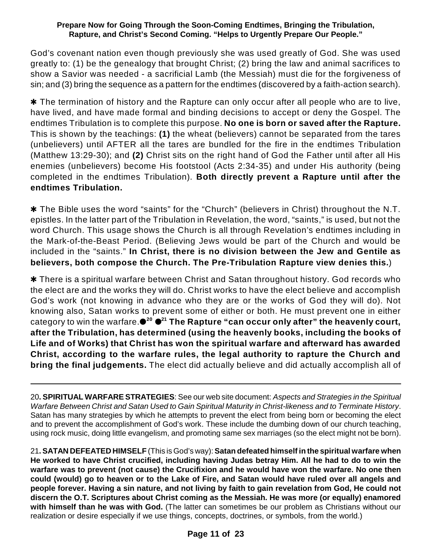God's covenant nation even though previously she was used greatly of God. She was used greatly to: (1) be the genealogy that brought Christ; (2) bring the law and animal sacrifices to show a Savior was needed - a sacrificial Lamb (the Messiah) must die for the forgiveness of sin; and (3) bring the sequence as a pattern for the endtimes (discovered by a faith-action search).

 $*$  The termination of history and the Rapture can only occur after all people who are to live, have lived, and have made formal and binding decisions to accept or deny the Gospel. The endtimes Tribulation is to complete this purpose. **No one is born or saved after the Rapture.** This is shown by the teachings: **(1)** the wheat (believers) cannot be separated from the tares (unbelievers) until AFTER all the tares are bundled for the fire in the endtimes Tribulation (Matthew 13:29-30); and **(2)** Christ sits on the right hand of God the Father until after all His enemies (unbelievers) become His footstool (Acts 2:34-35) and under His authority (being completed in the endtimes Tribulation). **Both directly prevent a Rapture until after the endtimes Tribulation.**

\* The Bible uses the word "saints" for the "Church" (believers in Christ) throughout the N.T. epistles. In the latter part of the Tribulation in Revelation, the word, "saints," is used, but not the word Church. This usage shows the Church is all through Revelation's endtimes including in the Mark-of-the-Beast Period. (Believing Jews would be part of the Church and would be included in the "saints." **In Christ, there is no division between the Jew and Gentile as believers, both compose the Church. The Pre-Tribulation Rapture view denies this.**)

\* There is a spiritual warfare between Christ and Satan throughout history. God records who the elect are and the works they will do. Christ works to have the elect believe and accomplish God's work (not knowing in advance who they are or the works of God they will do). Not knowing also, Satan works to prevent some of either or both. He must prevent one in either category to win the warfare. **The Rapture "can occur only after" the heavenly court, 20 21 after the Tribulation, has determined (using the heavenly books, including the books of Life and of Works) that Christ has won the spiritual warfare and afterward has awarded Christ, according to the warfare rules, the legal authority to rapture the Church and bring the final judgements.** The elect did actually believe and did actually accomplish all of

20**. SPIRITUAL WARFARE STRATEGIES**: See our web site document: *Aspects and Strategies in the Spiritual Warfare Between Christ and Satan Used to Gain Spiritual Maturity in Christ-likeness and to Terminate History*. Satan has many strategies by which he attempts to prevent the elect from being born or becoming the elect and to prevent the accomplishment of God's work. These include the dumbing down of our church teaching, using rock music, doing little evangelism, and promoting same sex marriages (so the elect might not be born).

21**. SATAN DEFEATED HIMSELF** (This is God's way): **Satan defeated himself in the spiritual warfare when He worked to have Christ crucified, including having Judas betray Him. All he had to do to win the warfare was to prevent (not cause) the Crucifixion and he would have won the warfare. No one then could (would) go to heaven or to the Lake of Fire, and Satan would have ruled over all angels and people forever. Having a sin nature, and not living by faith to gain revelation from God, He could not discern the O.T. Scriptures about Christ coming as the Messiah. He was more (or equally) enamored with himself than he was with God.** (The latter can sometimes be our problem as Christians without our realization or desire especially if we use things, concepts, doctrines, or symbols, from the world.)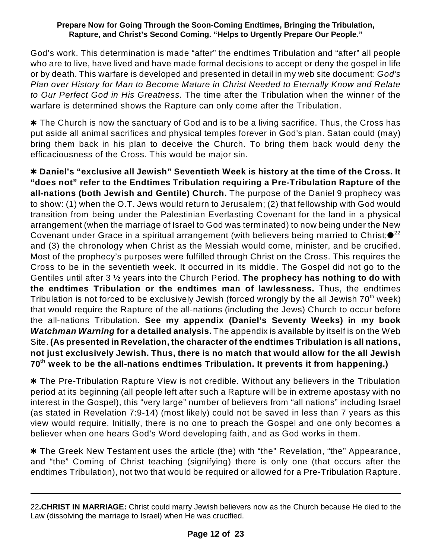God's work. This determination is made "after" the endtimes Tribulation and "after" all people who are to live, have lived and have made formal decisions to accept or deny the gospel in life or by death. This warfare is developed and presented in detail in my web site document: *God's Plan over History for Man to Become Mature in Christ Needed to Eternally Know and Relate to Our Perfect God in His Greatness.* The time after the Tribulation when the winner of the warfare is determined shows the Rapture can only come after the Tribulation.

 $*$  The Church is now the sanctuary of God and is to be a living sacrifice. Thus, the Cross has put aside all animal sacrifices and physical temples forever in God's plan. Satan could (may) bring them back in his plan to deceive the Church. To bring them back would deny the efficaciousness of the Cross. This would be major sin.

r **Daniel's "exclusive all Jewish" Seventieth Week is history at the time of the Cross. It "does not" refer to the Endtimes Tribulation requiring a Pre-Tribulation Rapture of the all-nations (both Jewish and Gentile) Church.** The purpose of the Daniel 9 prophecy was to show: (1) when the O.T. Jews would return to Jerusalem; (2) that fellowship with God would transition from being under the Palestinian Everlasting Covenant for the land in a physical arrangement (when the marriage of Israel to God was terminated) to now being under the New Covenant under Grace in a spiritual arrangement (with believers being married to Christ; $\bullet^{22}$ and (3) the chronology when Christ as the Messiah would come, minister, and be crucified. Most of the prophecy's purposes were fulfilled through Christ on the Cross. This requires the Cross to be in the seventieth week. It occurred in its middle. The Gospel did not go to the Gentiles until after 3 ½ years into the Church Period. **The prophecy has nothing to do with the endtimes Tribulation or the endtimes man of lawlessness.** Thus, the endtimes Tribulation is not forced to be exclusively Jewish (forced wrongly by the all Jewish 70 $^{\rm th}$  week) that would require the Rapture of the all-nations (including the Jews) Church to occur before the all-nations Tribulation. **See my appendix (Daniel's Seventy Weeks) in my book** *Watchman Warning* **for a detailed analysis.** The appendix is available by itself is on the Web Site. **(As presented in Revelation, the character of the endtimes Tribulation is all nations, not just exclusively Jewish. Thus, there is no match that would allow for the all Jewish 70 week to be the all-nations endtimes Tribulation. It prevents it from happening.) th**

**\*** The Pre-Tribulation Rapture View is not credible. Without any believers in the Tribulation period at its beginning (all people left after such a Rapture will be in extreme apostasy with no interest in the Gospel), this "very large" number of believers from "all nations" including Israel (as stated in Revelation 7:9-14) (most likely) could not be saved in less than 7 years as this view would require. Initially, there is no one to preach the Gospel and one only becomes a believer when one hears God's Word developing faith, and as God works in them.

**\*** The Greek New Testament uses the article (the) with "the" Revelation, "the" Appearance, and "the" Coming of Christ teaching (signifying) there is only one (that occurs after the endtimes Tribulation), not two that would be required or allowed for a Pre-Tribulation Rapture.

<sup>22</sup>**.CHRIST IN MARRIAGE:** Christ could marry Jewish believers now as the Church because He died to the Law (dissolving the marriage to Israel) when He was crucified.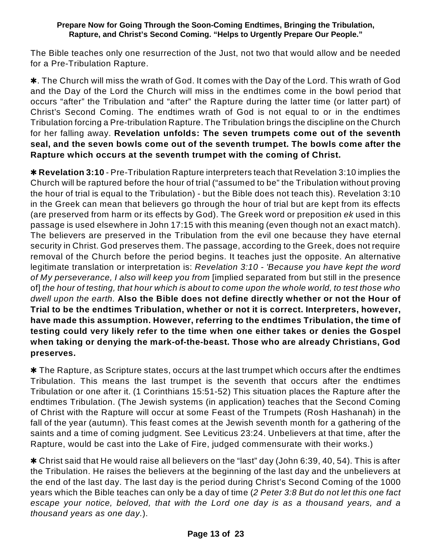The Bible teaches only one resurrection of the Just, not two that would allow and be needed for a Pre-Tribulation Rapture.

\*. The Church will miss the wrath of God. It comes with the Day of the Lord. This wrath of God and the Day of the Lord the Church will miss in the endtimes come in the bowl period that occurs "after" the Tribulation and "after" the Rapture during the latter time (or latter part) of Christ's Second Coming. The endtimes wrath of God is not equal to or in the endtimes Tribulation forcing a Pre-tribulation Rapture. The Tribulation brings the discipline on the Church for her falling away. **Revelation unfolds: The seven trumpets come out of the seventh seal, and the seven bowls come out of the seventh trumpet. The bowls come after the Rapture which occurs at the seventh trumpet with the coming of Christ.**

**\* Revelation 3:10** - Pre-Tribulation Rapture interpreters teach that Revelation 3:10 implies the Church will be raptured before the hour of trial ("assumed to be" the Tribulation without proving the hour of trial is equal to the Tribulation) - but the Bible does not teach this). Revelation 3:10 in the Greek can mean that believers go through the hour of trial but are kept from its effects (are preserved from harm or its effects by God). The Greek word or preposition *ek* used in this passage is used elsewhere in John 17:15 with this meaning (even though not an exact match). The believers are preserved in the Tribulation from the evil one because they have eternal security in Christ. God preserves them. The passage, according to the Greek, does not require removal of the Church before the period begins. It teaches just the opposite. An alternative legitimate translation or interpretation is: *Revelation 3:10 - 'Because you have kept the word of My perseverance, I also will keep you from* [implied separated from but still in the presence of] the hour of testing, that hour which is about to come upon the whole world, to test those who *dwell upon the earth.* **Also the Bible does not define directly whether or not the Hour of Trial to be the endtimes Tribulation, whether or not it is correct. Interpreters, however, have made this assumption. However, referring to the endtimes Tribulation, the time of testing could very likely refer to the time when one either takes or denies the Gospel when taking or denying the mark-of-the-beast. Those who are already Christians, God preserves.**

 $*$  The Rapture, as Scripture states, occurs at the last trumpet which occurs after the endtimes Tribulation. This means the last trumpet is the seventh that occurs after the endtimes Tribulation or one after it. (1 Corinthians 15:51-52) This situation places the Rapture after the endtimes Tribulation. (The Jewish systems (in application) teaches that the Second Coming of Christ with the Rapture will occur at some Feast of the Trumpets (Rosh Hashanah) in the fall of the year (autumn). This feast comes at the Jewish seventh month for a gathering of the saints and a time of coming judgment. See Leviticus 23:24. Unbelievers at that time, after the Rapture, would be cast into the Lake of Fire, judged commensurate with their works.)

 $*$  Christ said that He would raise all believers on the "last" day (John 6:39, 40, 54). This is after the Tribulation. He raises the believers at the beginning of the last day and the unbelievers at the end of the last day. The last day is the period during Christ's Second Coming of the 1000 years which the Bible teaches can only be a day of time (*2 Peter 3:8 But do not let this one fact escape your notice, beloved, that with the Lord one day is as a thousand years, and a thousand years as one day.*).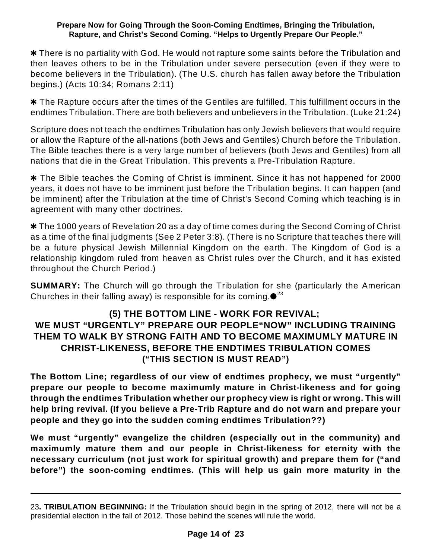\* There is no partiality with God. He would not rapture some saints before the Tribulation and then leaves others to be in the Tribulation under severe persecution (even if they were to become believers in the Tribulation). (The U.S. church has fallen away before the Tribulation begins.) (Acts 10:34; Romans 2:11)

\* The Rapture occurs after the times of the Gentiles are fulfilled. This fulfillment occurs in the endtimes Tribulation. There are both believers and unbelievers in the Tribulation. (Luke 21:24)

Scripture does not teach the endtimes Tribulation has only Jewish believers that would require or allow the Rapture of the all-nations (both Jews and Gentiles) Church before the Tribulation. The Bible teaches there is a very large number of believers (both Jews and Gentiles) from all nations that die in the Great Tribulation. This prevents a Pre-Tribulation Rapture.

**\*** The Bible teaches the Coming of Christ is imminent. Since it has not happened for 2000 years, it does not have to be imminent just before the Tribulation begins. It can happen (and be imminent) after the Tribulation at the time of Christ's Second Coming which teaching is in agreement with many other doctrines.

**\*** The 1000 years of Revelation 20 as a day of time comes during the Second Coming of Christ as a time of the final judgments (See 2 Peter 3:8). (There is no Scripture that teaches there will be a future physical Jewish Millennial Kingdom on the earth. The Kingdom of God is a relationship kingdom ruled from heaven as Christ rules over the Church, and it has existed throughout the Church Period.)

**SUMMARY:** The Church will go through the Tribulation for she (particularly the American Churches in their falling away) is responsible for its coming. $\bullet^{23}$ 

### **(5) THE BOTTOM LINE - WORK FOR REVIVAL; WE MUST "URGENTLY" PREPARE OUR PEOPLE"NOW" INCLUDING TRAINING THEM TO WALK BY STRONG FAITH AND TO BECOME MAXIMUMLY MATURE IN CHRIST-LIKENESS, BEFORE THE ENDTIMES TRIBULATION COMES ("THIS SECTION IS MUST READ")**

**The Bottom Line; regardless of our view of endtimes prophecy, we must "urgently" prepare our people to become maximumly mature in Christ-likeness and for going through the endtimes Tribulation whether our prophecy view is right or wrong. This will help bring revival. (If you believe a Pre-Trib Rapture and do not warn and prepare your people and they go into the sudden coming endtimes Tribulation??)**

**We must "urgently" evangelize the children (especially out in the community) and maximumly mature them and our people in Christ-likeness for eternity with the necessary curriculum (not just work for spiritual growth) and prepare them for ("and before") the soon-coming endtimes. (This will help us gain more maturity in the**

<sup>23</sup>**. TRIBULATION BEGINNING:** If the Tribulation should begin in the spring of 2012, there will not be a presidential election in the fall of 2012. Those behind the scenes will rule the world.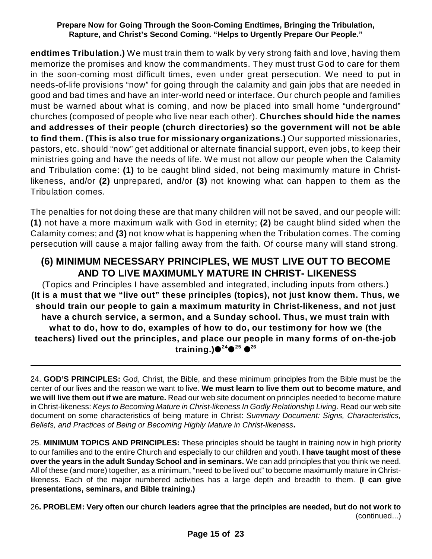**endtimes Tribulation.)** We must train them to walk by very strong faith and love, having them memorize the promises and know the commandments. They must trust God to care for them in the soon-coming most difficult times, even under great persecution. We need to put in needs-of-life provisions "now" for going through the calamity and gain jobs that are needed in good and bad times and have an inter-world need or interface. Our church people and families must be warned about what is coming, and now be placed into small home "underground" churches (composed of people who live near each other). **Churches should hide the names and addresses of their people (church directories) so the government will not be able to find them. (This is also true for missionary organizations.)** Our supported missionaries, pastors, etc. should "now" get additional or alternate financial support, even jobs, to keep their ministries going and have the needs of life. We must not allow our people when the Calamity and Tribulation come: **(1)** to be caught blind sided, not being maximumly mature in Christlikeness, and/or **(2)** unprepared, and/or **(3)** not knowing what can happen to them as the Tribulation comes.

The penalties for not doing these are that many children will not be saved, and our people will: **(1)** not have a more maximum walk with God in eternity; **(2)** be caught blind sided when the Calamity comes; and **(3)** not know what is happening when the Tribulation comes. The coming persecution will cause a major falling away from the faith. Of course many will stand strong.

## **(6) MINIMUM NECESSARY PRINCIPLES, WE MUST LIVE OUT TO BECOME AND TO LIVE MAXIMUMLY MATURE IN CHRIST- LIKENESS**

(Topics and Principles I have assembled and integrated, including inputs from others.) **(It is a must that we "live out" these principles (topics), not just know them. Thus, we should train our people to gain a maximum maturity in Christ-likeness, and not just have a church service, a sermon, and a Sunday school. Thus, we must train with what to do, how to do, examples of how to do, our testimony for how we (the teachers) lived out the principles, and place our people in many forms of on-the-job training.) 24 25 26**

24. **GOD'S PRINCIPLES:** God, Christ, the Bible, and these minimum principles from the Bible must be the center of our lives and the reason we want to live. **We must learn to live them out to become mature, and we will live them out if we are mature.** Read our web site document on principles needed to become mature in Christ-likeness: *Keys to Becoming Mature in Christ-likeness In Godly Relationship Living*. Read our web site document on some characteristics of being mature in Christ: *Summary Document: Signs, Characteristics, Beliefs, and Practices of Being or Becoming Highly Mature in Christ-likeness***.**

25. **MINIMUM TOPICS AND PRINCIPLES:** These principles should be taught in training now in high priority to our families and to the entire Church and especially to our children and youth. **I have taught most of these over the years in the adult Sunday School and in seminars.** We can add principles that you think we need. All of these (and more) together, as a minimum, "need to be lived out" to become maximumly mature in Christlikeness. Each of the major numbered activities has a large depth and breadth to them. **(I can give presentations, seminars, and Bible training.)**

26**. PROBLEM: Very often our church leaders agree that the principles are needed, but do not work to** (continued...)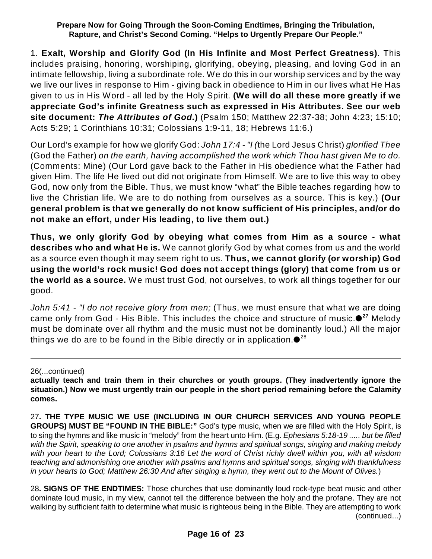1. **Exalt, Worship and Glorify God (In His Infinite and Most Perfect Greatness)**. This includes praising, honoring, worshiping, glorifying, obeying, pleasing, and loving God in an intimate fellowship, living a subordinate role. We do this in our worship services and by the way we live our lives in response to Him - giving back in obedience to Him in our lives what He Has given to us in His Word - all led by the Holy Spirit. **(We will do all these more greatly if we appreciate God's infinite Greatness such as expressed in His Attributes. See our web site document:** *The Attributes of God.***)** (Psalm 150; Matthew 22:37-38; John 4:23; 15:10; Acts 5:29; 1 Corinthians 10:31; Colossians 1:9-11, 18; Hebrews 11:6.)

Our Lord's example for how we glorify God: *John 17:4 - "I (*the Lord Jesus Christ) *glorified Thee* (God the Father) *on the earth, having accomplished the work which Thou hast given Me to do.* (Comments: Mine) (Our Lord gave back to the Father in His obedience what the Father had given Him. The life He lived out did not originate from Himself. We are to live this way to obey God, now only from the Bible. Thus, we must know "what" the Bible teaches regarding how to live the Christian life. We are to do nothing from ourselves as a source. This is key.) **(Our general problem is that we generally do not know sufficient of His principles, and/or do not make an effort, under His leading, to live them out.)**

**Thus, we only glorify God by obeying what comes from Him as a source - what describes who and what He is.** We cannot glorify God by what comes from us and the world as a source even though it may seem right to us. **Thus, we cannot glorify (or worship) God using the world's rock music! God does not accept things (glory) that come from us or the world as a source.** We must trust God, not ourselves, to work all things together for our good.

*John 5:41 - "I do not receive glory from men;* (Thus, we must ensure that what we are doing came only from God - His Bible. This includes the choice and structure of music.<sup>●27</sup> Melody must be dominate over all rhythm and the music must not be dominantly loud.) All the major things we do are to be found in the Bible directly or in application. $\mathbf{\bullet}^\text{28}$ 

26(...continued)

28**. SIGNS OF THE ENDTIMES:** Those churches that use dominantly loud rock-type beat music and other dominate loud music, in my view, cannot tell the difference between the holy and the profane. They are not walking by sufficient faith to determine what music is righteous being in the Bible. They are attempting to work (continued...)

**actually teach and train them in their churches or youth groups. (They inadvertently ignore the situation.) Now we must urgently train our people in the short period remaining before the Calamity comes.**

<sup>27</sup>**. THE TYPE MUSIC WE USE (INCLUDING IN OUR CHURCH SERVICES AND YOUNG PEOPLE GROUPS) MUST BE "FOUND IN THE BIBLE:"** God's type music, when we are filled with the Holy Spirit, is to sing the hymns and like music in "melody" from the heart unto Him. (E.g. *Ephesians 5:18-19 ..... but be filled with the Spirit, speaking to one another in psalms and hymns and spiritual songs, singing and making melody with your heart to the Lord; Colossians 3:16 Let the word of Christ richly dwell within you, with all wisdom teaching and admonishing one another with psalms and hymns and spiritual songs, singing with thankfulness in your hearts to God; Matthew 26:30 And after singing a hymn, they went out to the Mount of Olives.*)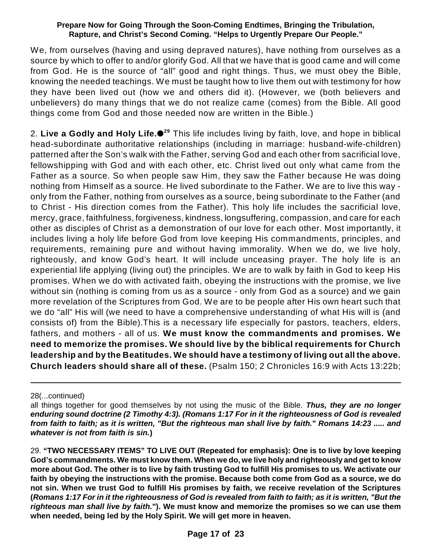We, from ourselves (having and using depraved natures), have nothing from ourselves as a source by which to offer to and/or glorify God. All that we have that is good came and will come from God. He is the source of "all" good and right things. Thus, we must obey the Bible, knowing the needed teachings. We must be taught how to live them out with testimony for how they have been lived out (how we and others did it). (However, we (both believers and unbelievers) do many things that we do not realize came (comes) from the Bible. All good things come from God and those needed now are written in the Bible.)

2. **Live a Godly and Holy Life.** This life includes living by faith, love, and hope in biblical **29** head-subordinate authoritative relationships (including in marriage: husband-wife-children) patterned after the Son's walk with the Father, serving God and each other from sacrificial love, fellowshipping with God and with each other, etc. Christ lived out only what came from the Father as a source. So when people saw Him, they saw the Father because He was doing nothing from Himself as a source. He lived subordinate to the Father. We are to live this way only from the Father, nothing from ourselves as a source, being subordinate to the Father (and to Christ - His direction comes from the Father). This holy life includes the sacrificial love, mercy, grace, faithfulness, forgiveness, kindness, longsuffering, compassion, and care for each other as disciples of Christ as a demonstration of our love for each other. Most importantly, it includes living a holy life before God from love keeping His commandments, principles, and requirements, remaining pure and without having immorality. When we do, we live holy, righteously, and know God's heart. It will include unceasing prayer. The holy life is an experiential life applying (living out) the principles. We are to walk by faith in God to keep His promises. When we do with activated faith, obeying the instructions with the promise, we live without sin (nothing is coming from us as a source - only from God as a source) and we gain more revelation of the Scriptures from God. We are to be people after His own heart such that we do "all" His will (we need to have a comprehensive understanding of what His will is (and consists of) from the Bible).This is a necessary life especially for pastors, teachers, elders, fathers, and mothers - all of us. **We must know the commandments and promises. We need to memorize the promises. We should live by the biblical requirements for Church leadership and by the Beatitudes. We should have a testimony of living out all the above. Church leaders should share all of these.** (Psalm 150; 2 Chronicles 16:9 with Acts 13:22b;

28(...continued)

29. **"TWO NECESSARY ITEMS" TO LIVE OUT (Repeated for emphasis): One is to live by love keeping God's commandments. We must know them. When we do, we live holy and righteously and get to know more about God. The other is to live by faith trusting God to fulfill His promises to us. We activate our faith by obeying the instructions with the promise. Because both come from God as a source, we do not sin. When we trust God to fulfill His promises by faith, we receive revelation of the Scriptures (***Romans 1:17 For in it the righteousness of God is revealed from faith to faith; as it is written, "But the righteous man shall live by faith.***"). We must know and memorize the promises so we can use them when needed, being led by the Holy Spirit. We will get more in heaven.**

all things together for good themselves by not using the music of the Bible. *Thus, they are no longer enduring sound doctrine (2 Timothy 4:3). (Romans 1:17 For in it the righteousness of God is revealed from faith to faith; as it is written, "But the righteous man shall live by faith.***"** *Romans 14:23 ..... and whatever is not from faith is sin.***)**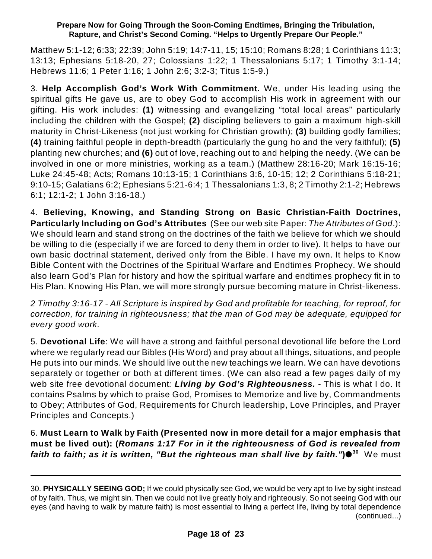Matthew 5:1-12; 6:33; 22:39; John 5:19; 14:7-11, 15; 15:10; Romans 8:28; 1 Corinthians 11:3; 13:13; Ephesians 5:18-20, 27; Colossians 1:22; 1 Thessalonians 5:17; 1 Timothy 3:1-14; Hebrews 11:6; 1 Peter 1:16; 1 John 2:6; 3:2-3; Titus 1:5-9.)

3. **Help Accomplish God's Work With Commitment.** We, under His leading using the spiritual gifts He gave us, are to obey God to accomplish His work in agreement with our gifting. His work includes: **(1)** witnessing and evangelizing "total local areas" particularly including the children with the Gospel; **(2)** discipling believers to gain a maximum high-skill maturity in Christ-Likeness (not just working for Christian growth); **(3)** building godly families; **(4)** training faithful people in depth-breadth (particularly the gung ho and the very faithful); **(5)** planting new churches; and **(6)** out of love, reaching out to and helping the needy. (We can be involved in one or more ministries, working as a team.) (Matthew 28:16-20; Mark 16:15-16; Luke 24:45-48; Acts; Romans 10:13-15; 1 Corinthians 3:6, 10-15; 12; 2 Corinthians 5:18-21; 9:10-15; Galatians 6:2; Ephesians 5:21-6:4; 1 Thessalonians 1:3, 8; 2 Timothy 2:1-2; Hebrews 6:1; 12:1-2; 1 John 3:16-18.)

4. **Believing, Knowing, and Standing Strong on Basic Christian-Faith Doctrines, Particularly Including on God's Attributes** (See our web site Paper: *The Attributes of God*.): We should learn and stand strong on the doctrines of the faith we believe for which we should be willing to die (especially if we are forced to deny them in order to live). It helps to have our own basic doctrinal statement, derived only from the Bible. I have my own. It helps to Know Bible Content with the Doctrines of the Spiritual Warfare and Endtimes Prophecy. We should also learn God's Plan for history and how the spiritual warfare and endtimes prophecy fit in to His Plan. Knowing His Plan, we will more strongly pursue becoming mature in Christ-likeness.

*2 Timothy 3:16-17 - All Scripture is inspired by God and profitable for teaching, for reproof, for correction, for training in righteousness; that the man of God may be adequate, equipped for every good work.*

5. **Devotional Life**: We will have a strong and faithful personal devotional life before the Lord where we regularly read our Bibles (His Word) and pray about all things, situations, and people He puts into our minds. We should live out the new teachings we learn. We can have devotions separately or together or both at different times. (We can also read a few pages daily of my web site free devotional document*: Living by God's Righteousness. -* This is what I do. It contains Psalms by which to praise God, Promises to Memorize and live by, Commandments to Obey; Attributes of God, Requirements for Church leadership, Love Principles, and Prayer Principles and Concepts.)

6. **Must Learn to Walk by Faith (Presented now in more detail for a major emphasis that must be lived out): (***Romans 1:17 For in it the righteousness of God is revealed from faith to faith; as it is written, "But the righteous man shall live by faith."***)** We must **30**

<sup>30.</sup> **PHYSICALLY SEEING GOD;** If we could physically see God, we would be very apt to live by sight instead of by faith. Thus, we might sin. Then we could not live greatly holy and righteously. So not seeing God with our eyes (and having to walk by mature faith) is most essential to living a perfect life, living by total dependence (continued...)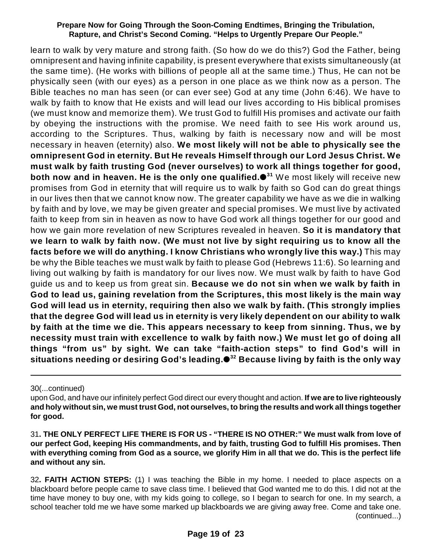learn to walk by very mature and strong faith. (So how do we do this?) God the Father, being omnipresent and having infinite capability, is present everywhere that exists simultaneously (at the same time). (He works with billions of people all at the same time.) Thus, He can not be physically seen (with our eyes) as a person in one place as we think now as a person. The Bible teaches no man has seen (or can ever see) God at any time (John 6:46). We have to walk by faith to know that He exists and will lead our lives according to His biblical promises (we must know and memorize them). We trust God to fulfill His promises and activate our faith by obeying the instructions with the promise. We need faith to see His work around us, according to the Scriptures. Thus, walking by faith is necessary now and will be most necessary in heaven (eternity) also. **We most likely will not be able to physically see the omnipresent God in eternity. But He reveals Himself through our Lord Jesus Christ. We must walk by faith trusting God (never ourselves) to work all things together for good, both now and in heaven. He is the only one qualified.** We most likely will receive new **31** promises from God in eternity that will require us to walk by faith so God can do great things in our lives then that we cannot know now. The greater capability we have as we die in walking by faith and by love, we may be given greater and special promises. We must live by activated faith to keep from sin in heaven as now to have God work all things together for our good and how we gain more revelation of new Scriptures revealed in heaven. **So it is mandatory that we learn to walk by faith now. (We must not live by sight requiring us to know all the facts before we will do anything. I know Christians who wrongly live this way.)** This may be why the Bible teaches we must walk by faith to please God (Hebrews 11:6). So learning and living out walking by faith is mandatory for our lives now. We must walk by faith to have God guide us and to keep us from great sin. **Because we do not sin when we walk by faith in God to lead us, gaining revelation from the Scriptures, this most likely is the main way God will lead us in eternity, requiring then also we walk by faith. (This strongly implies that the degree God will lead us in eternity is very likely dependent on our ability to walk by faith at the time we die. This appears necessary to keep from sinning. Thus, we by necessity must train with excellence to walk by faith now.) We must let go of doing all things "from us" by sight. We can take "faith-action steps" to find God's will in situations needing or desiring God's leading. Because living by faith is the only way 32**

30(...continued)

upon God, and have our infinitely perfect God direct our every thought and action. **If we are to live righteously and holy without sin, we must trust God, not ourselves, to bring the results and work all things together for good.**

<sup>31</sup>**. THE ONLY PERFECT LIFE THERE IS FOR US - "THERE IS NO OTHER:" We must walk from love of our perfect God, keeping His commandments, and by faith, trusting God to fulfill His promises. Then with everything coming from God as a source, we glorify Him in all that we do. This is the perfect life and without any sin.** 

<sup>32</sup>**. FAITH ACTION STEPS:** (1) I was teaching the Bible in my home. I needed to place aspects on a blackboard before people came to save class time. I believed that God wanted me to do this. I did not at the time have money to buy one, with my kids going to college, so I began to search for one. In my search, a school teacher told me we have some marked up blackboards we are giving away free. Come and take one. (continued...)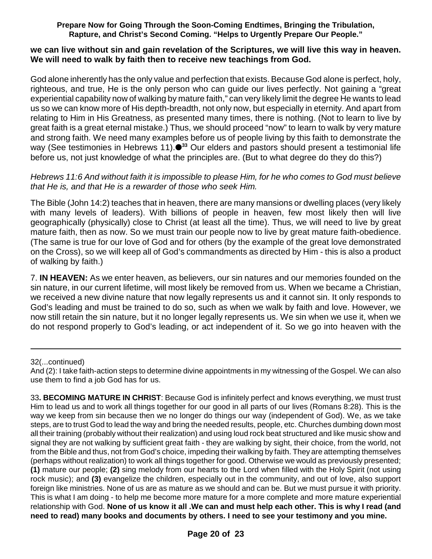#### **we can live without sin and gain revelation of the Scriptures, we will live this way in heaven. We will need to walk by faith then to receive new teachings from God.**

God alone inherently has the only value and perfection that exists. Because God alone is perfect, holy, righteous, and true, He is the only person who can guide our lives perfectly. Not gaining a "great experiential capability now of walking by mature faith," can very likely limit the degree He wants to lead us so we can know more of His depth-breadth, not only now, but especially in eternity. And apart from relating to Him in His Greatness, as presented many times, there is nothing. (Not to learn to live by great faith is a great eternal mistake.) Thus, we should proceed "now" to learn to walk by very mature and strong faith. We need many examples before us of people living by this faith to demonstrate the way (See testimonies in Hebrews 11).<sup>33</sup> Our elders and pastors should present a testimonial life before us, not just knowledge of what the principles are. (But to what degree do they do this?)

#### *Hebrews 11:6 And without faith it is impossible to please Him, for he who comes to God must believe that He is, and that He is a rewarder of those who seek Him.*

The Bible (John 14:2) teaches that in heaven, there are many mansions or dwelling places (very likely with many levels of leaders). With billions of people in heaven, few most likely then will live geographically (physically) close to Christ (at least all the time). Thus, we will need to live by great mature faith, then as now. So we must train our people now to live by great mature faith-obedience. (The same is true for our love of God and for others (by the example of the great love demonstrated on the Cross), so we will keep all of God's commandments as directed by Him - this is also a product of walking by faith.)

7. **IN HEAVEN:** As we enter heaven, as believers, our sin natures and our memories founded on the sin nature, in our current lifetime, will most likely be removed from us. When we became a Christian, we received a new divine nature that now legally represents us and it cannot sin. It only responds to God's leading and must be trained to do so, such as when we walk by faith and love. However, we now still retain the sin nature, but it no longer legally represents us. We sin when we use it, when we do not respond properly to God's leading, or act independent of it. So we go into heaven with the

#### 32(...continued)

And (2): I take faith-action steps to determine divine appointments in my witnessing of the Gospel. We can also use them to find a job God has for us.

33**. BECOMING MATURE IN CHRIST**: Because God is infinitely perfect and knows everything, we must trust Him to lead us and to work all things together for our good in all parts of our lives (Romans 8:28). This is the way we keep from sin because then we no longer do things our way (independent of God). We, as we take steps, are to trust God to lead the way and bring the needed results, people, etc. Churches dumbing down most all their training (probably without their realization) and using loud rock beat structured and like music show and signal they are not walking by sufficient great faith - they are walking by sight, their choice, from the world, not from the Bible and thus, not from God's choice, impeding their walking by faith. They are attempting themselves (perhaps without realization) to work all things together for good. Otherwise we would as previously presented; **(1)** mature our people; **(2)** sing melody from our hearts to the Lord when filled with the Holy Spirit (not using rock music); and **(3)** evangelize the children, especially out in the community, and out of love, also support foreign like ministries. None of us are as mature as we should and can be. But we must pursue it with priority. This is what I am doing - to help me become more mature for a more complete and more mature experiential relationship with God. **None of us know it all .We can and must help each other. This is why I read (and need to read) many books and documents by others. I need to see your testimony and you mine.**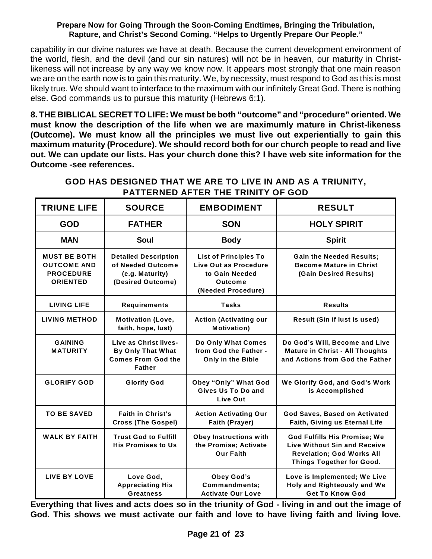capability in our divine natures we have at death. Because the current development environment of the world, flesh, and the devil (and our sin natures) will not be in heaven, our maturity in Christlikeness will not increase by any way we know now. It appears most strongly that one main reason we are on the earth now is to gain this maturity. We, by necessity, must respond to God as this is most likely true. We should want to interface to the maximum with our infinitely Great God. There is nothing else. God commands us to pursue this maturity (Hebrews 6:1).

**8. THE BIBLICAL SECRET TO LIFE: We must be both "outcome" and "procedure" oriented. We must know the description of the life when we are maximumly mature in Christ-likeness (Outcome). We must know all the principles we must live out experientially to gain this maximum maturity (Procedure). We should record both for our church people to read and live out. We can update our lists. Has your church done this? I have web site information for the Outcome -see references.** 

| <b>TRIUNE LIFE</b>                                                               | <b>SOURCE</b>                                                                                   | <b>EMBODIMENT</b>                                                                                               | <b>RESULT</b>                                                                                                                        |
|----------------------------------------------------------------------------------|-------------------------------------------------------------------------------------------------|-----------------------------------------------------------------------------------------------------------------|--------------------------------------------------------------------------------------------------------------------------------------|
| <b>GOD</b>                                                                       | <b>FATHER</b>                                                                                   | <b>SON</b>                                                                                                      | <b>HOLY SPIRIT</b>                                                                                                                   |
| <b>MAN</b>                                                                       | Soul                                                                                            | <b>Body</b>                                                                                                     | <b>Spirit</b>                                                                                                                        |
| <b>MUST BE BOTH</b><br><b>OUTCOME AND</b><br><b>PROCEDURE</b><br><b>ORIENTED</b> | <b>Detailed Description</b><br>of Needed Outcome<br>(e.g. Maturity)<br>(Desired Outcome)        | <b>List of Principles To</b><br>Live Out as Procedure<br>to Gain Needed<br><b>Outcome</b><br>(Needed Procedure) | <b>Gain the Needed Results;</b><br><b>Become Mature in Christ</b><br>(Gain Desired Results)                                          |
| <b>LIVING LIFE</b>                                                               | <b>Requirements</b>                                                                             | <b>Tasks</b>                                                                                                    | <b>Results</b>                                                                                                                       |
| <b>LIVING METHOD</b>                                                             | <b>Motivation (Love,</b><br>faith, hope, lust)                                                  | <b>Action (Activating our</b><br><b>Motivation</b> )                                                            | Result (Sin if lust is used)                                                                                                         |
| <b>GAINING</b><br><b>MATURITY</b>                                                | Live as Christ lives-<br><b>By Only That What</b><br><b>Comes From God the</b><br><b>Father</b> | Do Only What Comes<br>from God the Father -<br>Only in the Bible                                                | Do God's Will, Become and Live<br><b>Mature in Christ - All Thoughts</b><br>and Actions from God the Father                          |
| <b>GLORIFY GOD</b>                                                               | <b>Glorify God</b>                                                                              | Obey "Only" What God<br>Gives Us To Do and<br>Live Out                                                          | We Glorify God, and God's Work<br>is Accomplished                                                                                    |
| <b>TO BE SAVED</b>                                                               | <b>Faith in Christ's</b><br><b>Cross (The Gospel)</b>                                           | <b>Action Activating Our</b><br>Faith (Prayer)                                                                  | <b>God Saves, Based on Activated</b><br>Faith, Giving us Eternal Life                                                                |
| <b>WALK BY FAITH</b>                                                             | <b>Trust God to Fulfill</b><br><b>His Promises to Us</b>                                        | <b>Obey Instructions with</b><br>the Promise; Activate<br><b>Our Faith</b>                                      | God Fulfills His Promise; We<br><b>Live Without Sin and Receive</b><br><b>Revelation; God Works All</b><br>Things Together for Good. |
| <b>LIVE BY LOVE</b>                                                              | Love God,<br><b>Appreciating His</b><br><b>Greatness</b>                                        | Obey God's<br>Commandments;<br><b>Activate Our Love</b>                                                         | Love is Implemented; We Live<br>Holy and Righteously and We<br><b>Get To Know God</b>                                                |

### **GOD HAS DESIGNED THAT WE ARE TO LIVE IN AND AS A TRIUNITY, PATTERNED AFTER THE TRINITY OF GOD**

**Everything that lives and acts does so in the triunity of God - living in and out the image of God. This shows we must activate our faith and love to have living faith and living love.**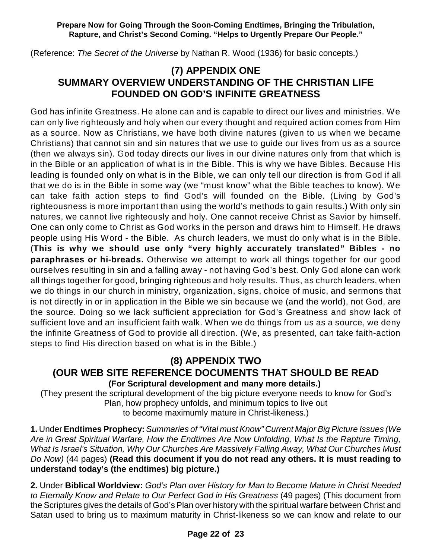(Reference: *The Secret of the Universe* by Nathan R. Wood (1936) for basic concepts.)

## **(7) APPENDIX ONE SUMMARY OVERVIEW UNDERSTANDING OF THE CHRISTIAN LIFE FOUNDED ON GOD'S INFINITE GREATNESS**

God has infinite Greatness. He alone can and is capable to direct our lives and ministries. We can only live righteously and holy when our every thought and required action comes from Him as a source. Now as Christians, we have both divine natures (given to us when we became Christians) that cannot sin and sin natures that we use to guide our lives from us as a source (then we always sin). God today directs our lives in our divine natures only from that which is in the Bible or an application of what is in the Bible. This is why we have Bibles. Because His leading is founded only on what is in the Bible, we can only tell our direction is from God if all that we do is in the Bible in some way (we "must know" what the Bible teaches to know). We can take faith action steps to find God's will founded on the Bible. (Living by God's righteousness is more important than using the world's methods to gain results.) With only sin natures, we cannot live righteously and holy. One cannot receive Christ as Savior by himself. One can only come to Christ as God works in the person and draws him to Himself. He draws people using His Word - the Bible. As church leaders, we must do only what is in the Bible. (**This is why we should use only "very highly accurately translated" Bibles - no paraphrases or hi-breads.** Otherwise we attempt to work all things together for our good ourselves resulting in sin and a falling away - not having God's best. Only God alone can work all things together for good, bringing righteous and holy results. Thus, as church leaders, when we do things in our church in ministry, organization, signs, choice of music, and sermons that is not directly in or in application in the Bible we sin because we (and the world), not God, are the source. Doing so we lack sufficient appreciation for God's Greatness and show lack of sufficient love and an insufficient faith walk. When we do things from us as a source, we deny the infinite Greatness of God to provide all direction. (We, as presented, can take faith-action steps to find His direction based on what is in the Bible.)

# **(8) APPENDIX TWO**

### **(OUR WEB SITE REFERENCE DOCUMENTS THAT SHOULD BE READ (For Scriptural development and many more details.)**

(They present the scriptural development of the big picture everyone needs to know for God's Plan, how prophecy unfolds, and minimum topics to live out to become maximumly mature in Christ-likeness.)

**1.** Under **Endtimes Prophecy:** *Summaries of "Vital must Know" Current Major Big Picture Issues (We Are in Great Spiritual Warfare, How the Endtimes Are Now Unfolding, What Is the Rapture Timing, What Is Israel's Situation, Why Our Churches Are Massively Falling Away, What Our Churches Must Do Now)* (44 pages) **(Read this document if you do not read any others. It is must reading to understand today's (the endtimes) big picture.)**

**2.** Under **Biblical Worldview:** *God's Plan over History for Man to Become Mature in Christ Needed to Eternally Know and Relate to Our Perfect God in His Greatness* (49 pages) (This document from the Scriptures gives the details of God's Plan over history with the spiritual warfare between Christ and Satan used to bring us to maximum maturity in Christ-likeness so we can know and relate to our